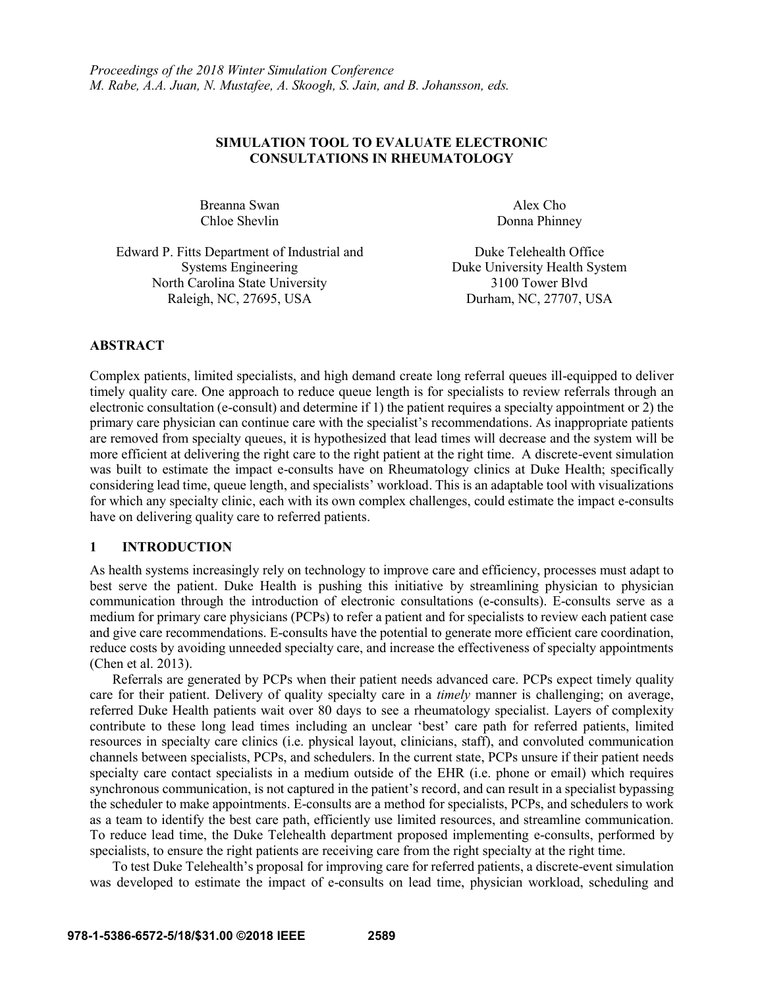# **SIMULATION TOOL TO EVALUATE ELECTRONIC CONSULTATIONS IN RHEUMATOLOGY**

Breanna Swan Alex Cho Chloe Shevlin Donna Phinney

Edward P. Fitts Department of Industrial and Duke Telehealth Office Systems Engineering Duke University Health System North Carolina State University 3100 Tower Blvd Raleigh, NC, 27695, USA Durham, NC, 27707, USA

## **ABSTRACT**

Complex patients, limited specialists, and high demand create long referral queues ill-equipped to deliver timely quality care. One approach to reduce queue length is for specialists to review referrals through an electronic consultation (e-consult) and determine if 1) the patient requires a specialty appointment or 2) the primary care physician can continue care with the specialist's recommendations. As inappropriate patients are removed from specialty queues, it is hypothesized that lead times will decrease and the system will be more efficient at delivering the right care to the right patient at the right time. A discrete-event simulation was built to estimate the impact e-consults have on Rheumatology clinics at Duke Health; specifically considering lead time, queue length, and specialists' workload. This is an adaptable tool with visualizations for which any specialty clinic, each with its own complex challenges, could estimate the impact e-consults have on delivering quality care to referred patients.

### **1 INTRODUCTION**

As health systems increasingly rely on technology to improve care and efficiency, processes must adapt to best serve the patient. Duke Health is pushing this initiative by streamlining physician to physician communication through the introduction of electronic consultations (e-consults). E-consults serve as a medium for primary care physicians (PCPs) to refer a patient and for specialists to review each patient case and give care recommendations. E-consults have the potential to generate more efficient care coordination, reduce costs by avoiding unneeded specialty care, and increase the effectiveness of specialty appointments (Chen et al. 2013).

Referrals are generated by PCPs when their patient needs advanced care. PCPs expect timely quality care for their patient. Delivery of quality specialty care in a *timely* manner is challenging; on average, referred Duke Health patients wait over 80 days to see a rheumatology specialist. Layers of complexity contribute to these long lead times including an unclear 'best' care path for referred patients, limited resources in specialty care clinics (i.e. physical layout, clinicians, staff), and convoluted communication channels between specialists, PCPs, and schedulers. In the current state, PCPs unsure if their patient needs specialty care contact specialists in a medium outside of the EHR (i.e. phone or email) which requires synchronous communication, is not captured in the patient's record, and can result in a specialist bypassing the scheduler to make appointments. E-consults are a method for specialists, PCPs, and schedulers to work as a team to identify the best care path, efficiently use limited resources, and streamline communication. To reduce lead time, the Duke Telehealth department proposed implementing e-consults, performed by specialists, to ensure the right patients are receiving care from the right specialty at the right time.

To test Duke Telehealth's proposal for improving care for referred patients, a discrete-event simulation was developed to estimate the impact of e-consults on lead time, physician workload, scheduling and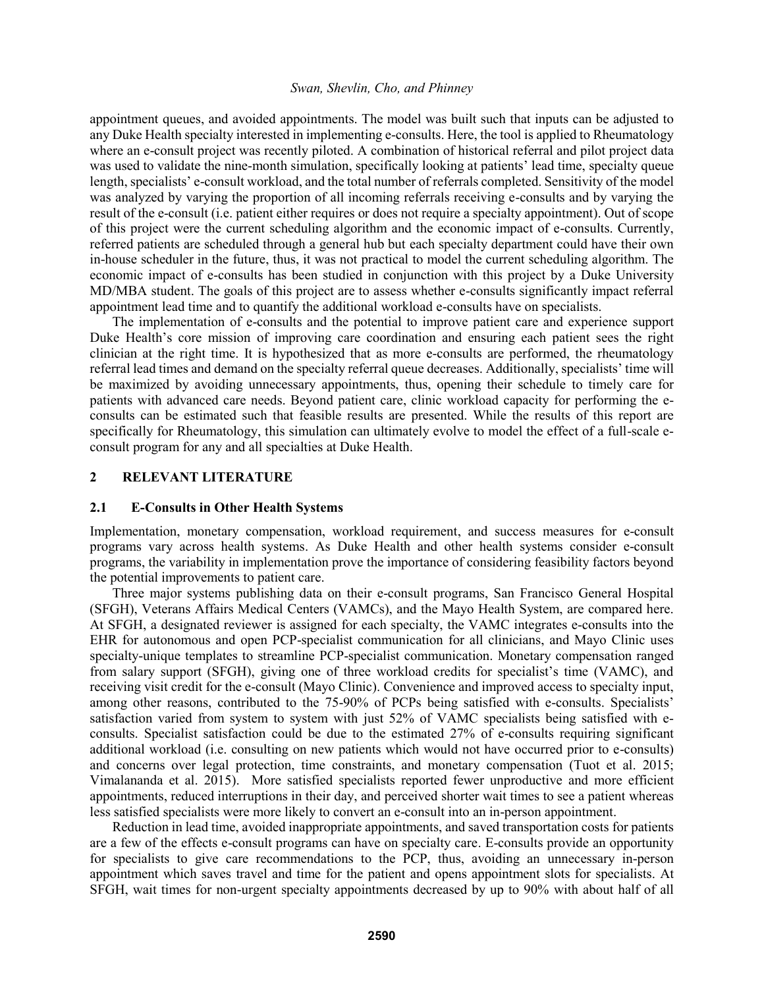appointment queues, and avoided appointments. The model was built such that inputs can be adjusted to any Duke Health specialty interested in implementing e-consults. Here, the tool is applied to Rheumatology where an e-consult project was recently piloted. A combination of historical referral and pilot project data was used to validate the nine-month simulation, specifically looking at patients' lead time, specialty queue length, specialists' e-consult workload, and the total number of referrals completed. Sensitivity of the model was analyzed by varying the proportion of all incoming referrals receiving e-consults and by varying the result of the e-consult (i.e. patient either requires or does not require a specialty appointment). Out of scope of this project were the current scheduling algorithm and the economic impact of e-consults. Currently, referred patients are scheduled through a general hub but each specialty department could have their own in-house scheduler in the future, thus, it was not practical to model the current scheduling algorithm. The economic impact of e-consults has been studied in conjunction with this project by a Duke University MD/MBA student. The goals of this project are to assess whether e-consults significantly impact referral appointment lead time and to quantify the additional workload e-consults have on specialists.

The implementation of e-consults and the potential to improve patient care and experience support Duke Health's core mission of improving care coordination and ensuring each patient sees the right clinician at the right time. It is hypothesized that as more e-consults are performed, the rheumatology referral lead times and demand on the specialty referral queue decreases. Additionally, specialists' time will be maximized by avoiding unnecessary appointments, thus, opening their schedule to timely care for patients with advanced care needs. Beyond patient care, clinic workload capacity for performing the econsults can be estimated such that feasible results are presented. While the results of this report are specifically for Rheumatology, this simulation can ultimately evolve to model the effect of a full-scale econsult program for any and all specialties at Duke Health.

# **2 RELEVANT LITERATURE**

### **2.1 E-Consults in Other Health Systems**

Implementation, monetary compensation, workload requirement, and success measures for e-consult programs vary across health systems. As Duke Health and other health systems consider e-consult programs, the variability in implementation prove the importance of considering feasibility factors beyond the potential improvements to patient care.

Three major systems publishing data on their e-consult programs, San Francisco General Hospital (SFGH), Veterans Affairs Medical Centers (VAMCs), and the Mayo Health System, are compared here. At SFGH, a designated reviewer is assigned for each specialty, the VAMC integrates e-consults into the EHR for autonomous and open PCP-specialist communication for all clinicians, and Mayo Clinic uses specialty-unique templates to streamline PCP-specialist communication. Monetary compensation ranged from salary support (SFGH), giving one of three workload credits for specialist's time (VAMC), and receiving visit credit for the e-consult (Mayo Clinic). Convenience and improved access to specialty input, among other reasons, contributed to the 75-90% of PCPs being satisfied with e-consults. Specialists' satisfaction varied from system to system with just 52% of VAMC specialists being satisfied with econsults. Specialist satisfaction could be due to the estimated 27% of e-consults requiring significant additional workload (i.e. consulting on new patients which would not have occurred prior to e-consults) and concerns over legal protection, time constraints, and monetary compensation (Tuot et al. 2015; Vimalananda et al. 2015). More satisfied specialists reported fewer unproductive and more efficient appointments, reduced interruptions in their day, and perceived shorter wait times to see a patient whereas less satisfied specialists were more likely to convert an e-consult into an in-person appointment.

Reduction in lead time, avoided inappropriate appointments, and saved transportation costs for patients are a few of the effects e-consult programs can have on specialty care. E-consults provide an opportunity for specialists to give care recommendations to the PCP, thus, avoiding an unnecessary in-person appointment which saves travel and time for the patient and opens appointment slots for specialists. At SFGH, wait times for non-urgent specialty appointments decreased by up to 90% with about half of all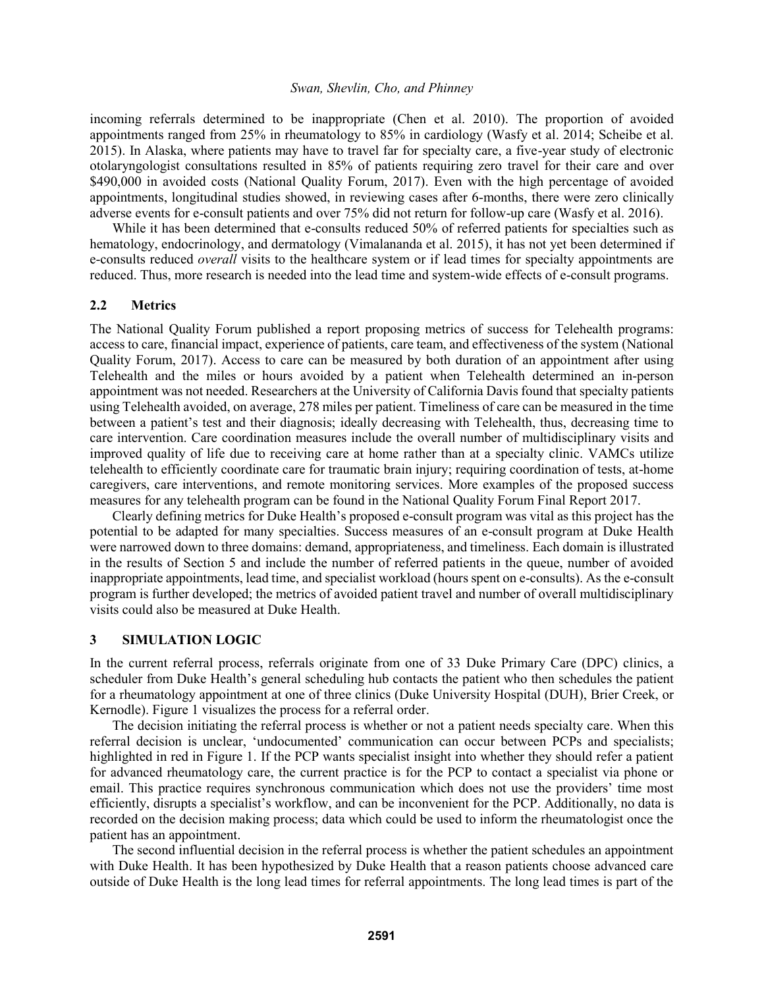incoming referrals determined to be inappropriate (Chen et al. 2010). The proportion of avoided appointments ranged from 25% in rheumatology to 85% in cardiology (Wasfy et al. 2014; Scheibe et al. 2015). In Alaska, where patients may have to travel far for specialty care, a five-year study of electronic otolaryngologist consultations resulted in 85% of patients requiring zero travel for their care and over \$490,000 in avoided costs (National Quality Forum, 2017). Even with the high percentage of avoided appointments, longitudinal studies showed, in reviewing cases after 6-months, there were zero clinically adverse events for e-consult patients and over 75% did not return for follow-up care (Wasfy et al. 2016).

While it has been determined that e-consults reduced 50% of referred patients for specialties such as hematology, endocrinology, and dermatology (Vimalananda et al. 2015), it has not yet been determined if e-consults reduced *overall* visits to the healthcare system or if lead times for specialty appointments are reduced. Thus, more research is needed into the lead time and system-wide effects of e-consult programs.

### **2.2 Metrics**

The National Quality Forum published a report proposing metrics of success for Telehealth programs: access to care, financial impact, experience of patients, care team, and effectiveness of the system (National Quality Forum, 2017). Access to care can be measured by both duration of an appointment after using Telehealth and the miles or hours avoided by a patient when Telehealth determined an in-person appointment was not needed. Researchers at the University of California Davis found that specialty patients using Telehealth avoided, on average, 278 miles per patient. Timeliness of care can be measured in the time between a patient's test and their diagnosis; ideally decreasing with Telehealth, thus, decreasing time to care intervention. Care coordination measures include the overall number of multidisciplinary visits and improved quality of life due to receiving care at home rather than at a specialty clinic. VAMCs utilize telehealth to efficiently coordinate care for traumatic brain injury; requiring coordination of tests, at-home caregivers, care interventions, and remote monitoring services. More examples of the proposed success measures for any telehealth program can be found in the National Quality Forum Final Report 2017.

Clearly defining metrics for Duke Health's proposed e-consult program was vital as this project has the potential to be adapted for many specialties. Success measures of an e-consult program at Duke Health were narrowed down to three domains: demand, appropriateness, and timeliness. Each domain is illustrated in the results of Section 5 and include the number of referred patients in the queue, number of avoided inappropriate appointments, lead time, and specialist workload (hours spent on e-consults). As the e-consult program is further developed; the metrics of avoided patient travel and number of overall multidisciplinary visits could also be measured at Duke Health.

# **3 SIMULATION LOGIC**

In the current referral process, referrals originate from one of 33 Duke Primary Care (DPC) clinics, a scheduler from Duke Health's general scheduling hub contacts the patient who then schedules the patient for a rheumatology appointment at one of three clinics (Duke University Hospital (DUH), Brier Creek, or Kernodle). Figure 1 visualizes the process for a referral order.

The decision initiating the referral process is whether or not a patient needs specialty care. When this referral decision is unclear, 'undocumented' communication can occur between PCPs and specialists; highlighted in red in Figure 1. If the PCP wants specialist insight into whether they should refer a patient for advanced rheumatology care, the current practice is for the PCP to contact a specialist via phone or email. This practice requires synchronous communication which does not use the providers' time most efficiently, disrupts a specialist's workflow, and can be inconvenient for the PCP. Additionally, no data is recorded on the decision making process; data which could be used to inform the rheumatologist once the patient has an appointment.

The second influential decision in the referral process is whether the patient schedules an appointment with Duke Health. It has been hypothesized by Duke Health that a reason patients choose advanced care outside of Duke Health is the long lead times for referral appointments. The long lead times is part of the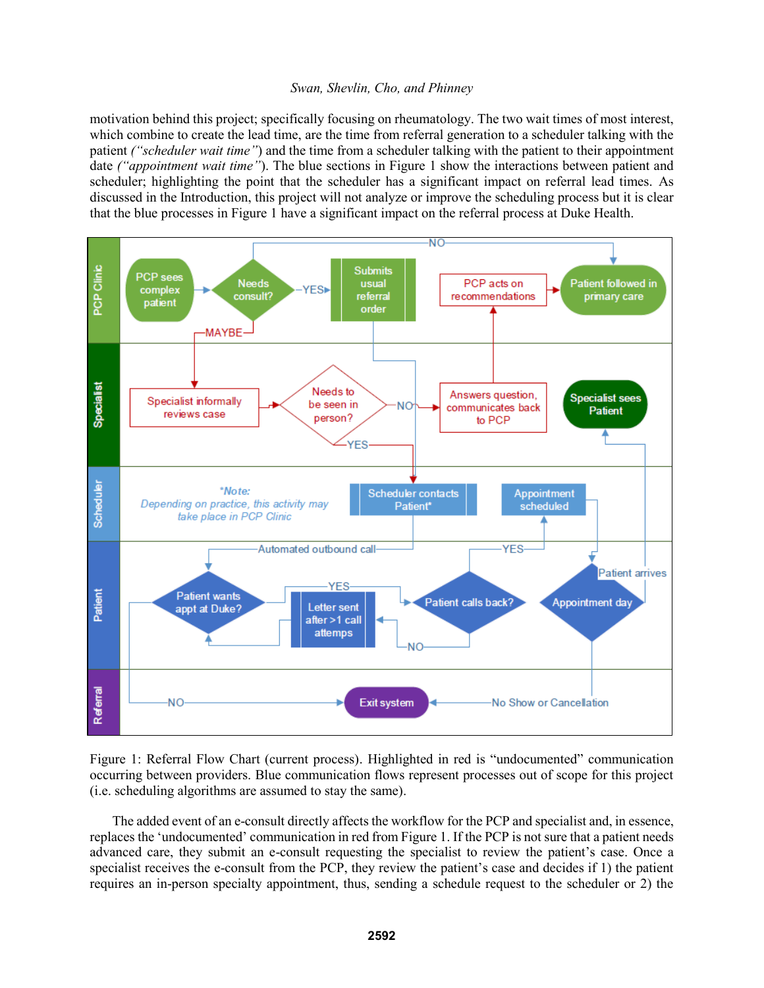motivation behind this project; specifically focusing on rheumatology. The two wait times of most interest, which combine to create the lead time, are the time from referral generation to a scheduler talking with the patient *("scheduler wait time"*) and the time from a scheduler talking with the patient to their appointment date *("appointment wait time"*). The blue sections in Figure 1 show the interactions between patient and scheduler; highlighting the point that the scheduler has a significant impact on referral lead times. As discussed in the Introduction, this project will not analyze or improve the scheduling process but it is clear that the blue processes in Figure 1 have a significant impact on the referral process at Duke Health.



Figure 1: Referral Flow Chart (current process). Highlighted in red is "undocumented" communication occurring between providers. Blue communication flows represent processes out of scope for this project (i.e. scheduling algorithms are assumed to stay the same).

The added event of an e-consult directly affects the workflow for the PCP and specialist and, in essence, replaces the 'undocumented' communication in red from Figure 1. If the PCP is not sure that a patient needs advanced care, they submit an e-consult requesting the specialist to review the patient's case. Once a specialist receives the e-consult from the PCP, they review the patient's case and decides if 1) the patient requires an in-person specialty appointment, thus, sending a schedule request to the scheduler or 2) the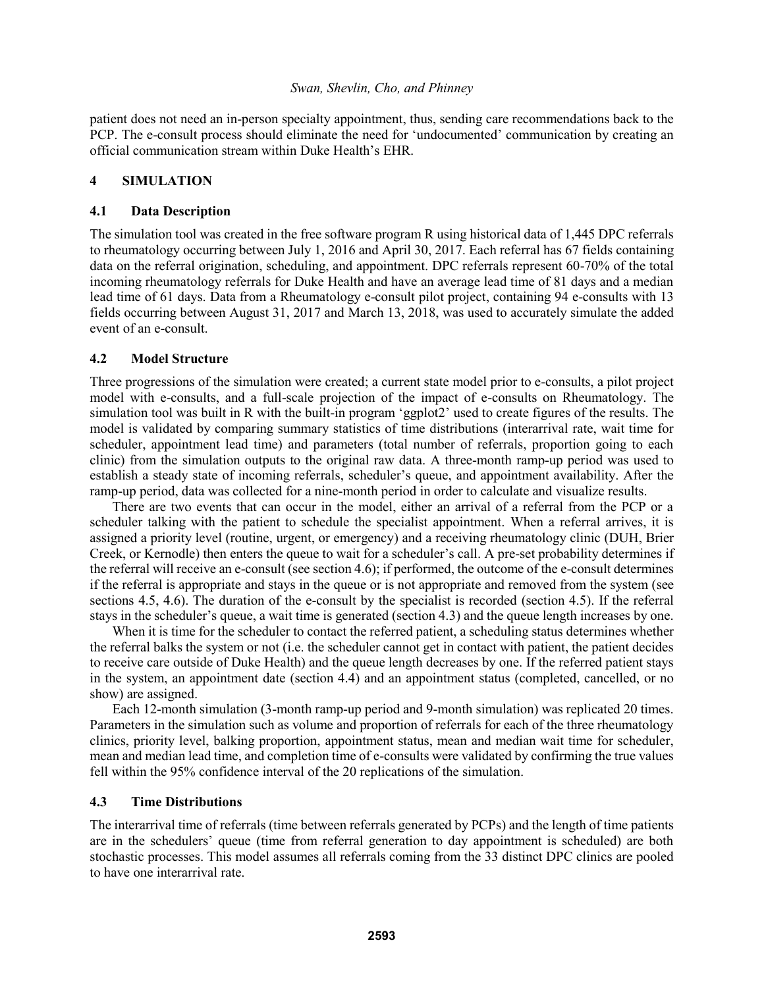patient does not need an in-person specialty appointment, thus, sending care recommendations back to the PCP. The e-consult process should eliminate the need for 'undocumented' communication by creating an official communication stream within Duke Health's EHR.

### **4 SIMULATION**

### **4.1 Data Description**

The simulation tool was created in the free software program R using historical data of 1,445 DPC referrals to rheumatology occurring between July 1, 2016 and April 30, 2017. Each referral has 67 fields containing data on the referral origination, scheduling, and appointment. DPC referrals represent 60-70% of the total incoming rheumatology referrals for Duke Health and have an average lead time of 81 days and a median lead time of 61 days. Data from a Rheumatology e-consult pilot project, containing 94 e-consults with 13 fields occurring between August 31, 2017 and March 13, 2018, was used to accurately simulate the added event of an e-consult.

### **4.2 Model Structure**

Three progressions of the simulation were created; a current state model prior to e-consults, a pilot project model with e-consults, and a full-scale projection of the impact of e-consults on Rheumatology. The simulation tool was built in R with the built-in program 'ggplot2' used to create figures of the results. The model is validated by comparing summary statistics of time distributions (interarrival rate, wait time for scheduler, appointment lead time) and parameters (total number of referrals, proportion going to each clinic) from the simulation outputs to the original raw data. A three-month ramp-up period was used to establish a steady state of incoming referrals, scheduler's queue, and appointment availability. After the ramp-up period, data was collected for a nine-month period in order to calculate and visualize results.

There are two events that can occur in the model, either an arrival of a referral from the PCP or a scheduler talking with the patient to schedule the specialist appointment. When a referral arrives, it is assigned a priority level (routine, urgent, or emergency) and a receiving rheumatology clinic (DUH, Brier Creek, or Kernodle) then enters the queue to wait for a scheduler's call. A pre-set probability determines if the referral will receive an e-consult (see section 4.6); if performed, the outcome of the e-consult determines if the referral is appropriate and stays in the queue or is not appropriate and removed from the system (see sections 4.5, 4.6). The duration of the e-consult by the specialist is recorded (section 4.5). If the referral stays in the scheduler's queue, a wait time is generated (section 4.3) and the queue length increases by one.

When it is time for the scheduler to contact the referred patient, a scheduling status determines whether the referral balks the system or not (i.e. the scheduler cannot get in contact with patient, the patient decides to receive care outside of Duke Health) and the queue length decreases by one. If the referred patient stays in the system, an appointment date (section 4.4) and an appointment status (completed, cancelled, or no show) are assigned.

Each 12-month simulation (3-month ramp-up period and 9-month simulation) was replicated 20 times. Parameters in the simulation such as volume and proportion of referrals for each of the three rheumatology clinics, priority level, balking proportion, appointment status, mean and median wait time for scheduler, mean and median lead time, and completion time of e-consults were validated by confirming the true values fell within the 95% confidence interval of the 20 replications of the simulation.

# **4.3 Time Distributions**

The interarrival time of referrals (time between referrals generated by PCPs) and the length of time patients are in the schedulers' queue (time from referral generation to day appointment is scheduled) are both stochastic processes. This model assumes all referrals coming from the 33 distinct DPC clinics are pooled to have one interarrival rate.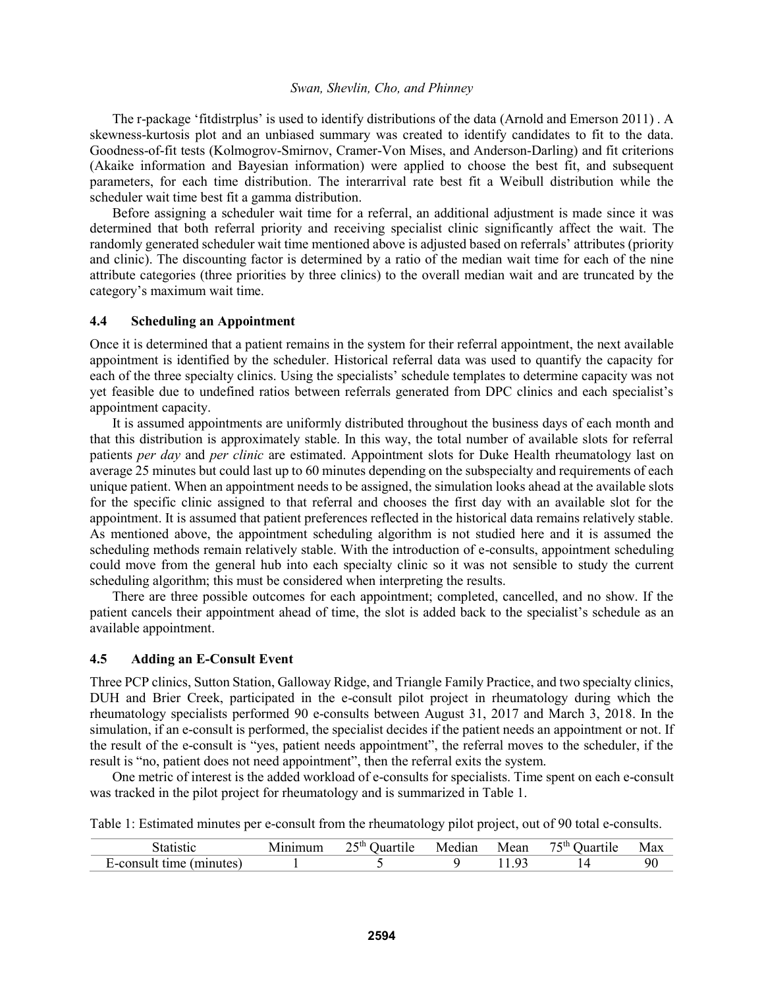The r-package 'fitdistrplus' is used to identify distributions of the data (Arnold and Emerson 2011) . A skewness-kurtosis plot and an unbiased summary was created to identify candidates to fit to the data. Goodness-of-fit tests (Kolmogrov-Smirnov, Cramer-Von Mises, and Anderson-Darling) and fit criterions (Akaike information and Bayesian information) were applied to choose the best fit, and subsequent parameters, for each time distribution. The interarrival rate best fit a Weibull distribution while the scheduler wait time best fit a gamma distribution.

Before assigning a scheduler wait time for a referral, an additional adjustment is made since it was determined that both referral priority and receiving specialist clinic significantly affect the wait. The randomly generated scheduler wait time mentioned above is adjusted based on referrals' attributes (priority and clinic). The discounting factor is determined by a ratio of the median wait time for each of the nine attribute categories (three priorities by three clinics) to the overall median wait and are truncated by the category's maximum wait time.

### **4.4 Scheduling an Appointment**

Once it is determined that a patient remains in the system for their referral appointment, the next available appointment is identified by the scheduler. Historical referral data was used to quantify the capacity for each of the three specialty clinics. Using the specialists' schedule templates to determine capacity was not yet feasible due to undefined ratios between referrals generated from DPC clinics and each specialist's appointment capacity.

It is assumed appointments are uniformly distributed throughout the business days of each month and that this distribution is approximately stable. In this way, the total number of available slots for referral patients *per day* and *per clinic* are estimated. Appointment slots for Duke Health rheumatology last on average 25 minutes but could last up to 60 minutes depending on the subspecialty and requirements of each unique patient. When an appointment needs to be assigned, the simulation looks ahead at the available slots for the specific clinic assigned to that referral and chooses the first day with an available slot for the appointment. It is assumed that patient preferences reflected in the historical data remains relatively stable. As mentioned above, the appointment scheduling algorithm is not studied here and it is assumed the scheduling methods remain relatively stable. With the introduction of e-consults, appointment scheduling could move from the general hub into each specialty clinic so it was not sensible to study the current scheduling algorithm; this must be considered when interpreting the results.

There are three possible outcomes for each appointment; completed, cancelled, and no show. If the patient cancels their appointment ahead of time, the slot is added back to the specialist's schedule as an available appointment.

### **4.5 Adding an E-Consult Event**

Three PCP clinics, Sutton Station, Galloway Ridge, and Triangle Family Practice, and two specialty clinics, DUH and Brier Creek, participated in the e-consult pilot project in rheumatology during which the rheumatology specialists performed 90 e-consults between August 31, 2017 and March 3, 2018. In the simulation, if an e-consult is performed, the specialist decides if the patient needs an appointment or not. If the result of the e-consult is "yes, patient needs appointment", the referral moves to the scheduler, if the result is "no, patient does not need appointment", then the referral exits the system.

One metric of interest is the added workload of e-consults for specialists. Time spent on each e-consult was tracked in the pilot project for rheumatology and is summarized in Table 1.

Table 1: Estimated minutes per e-consult from the rheumatology pilot project, out of 90 total e-consults.

|                                  | $\mathcal{L}$ cth.<br>Juartile<br>$\overline{\phantom{a}}$<br>__ | $\cdot$ $\cdot$<br>Median | Mean | $75$ cth<br>Juartile | Max |
|----------------------------------|------------------------------------------------------------------|---------------------------|------|----------------------|-----|
| minutes<br>$0^{\prime}$<br>' – 1 |                                                                  |                           |      |                      | 90  |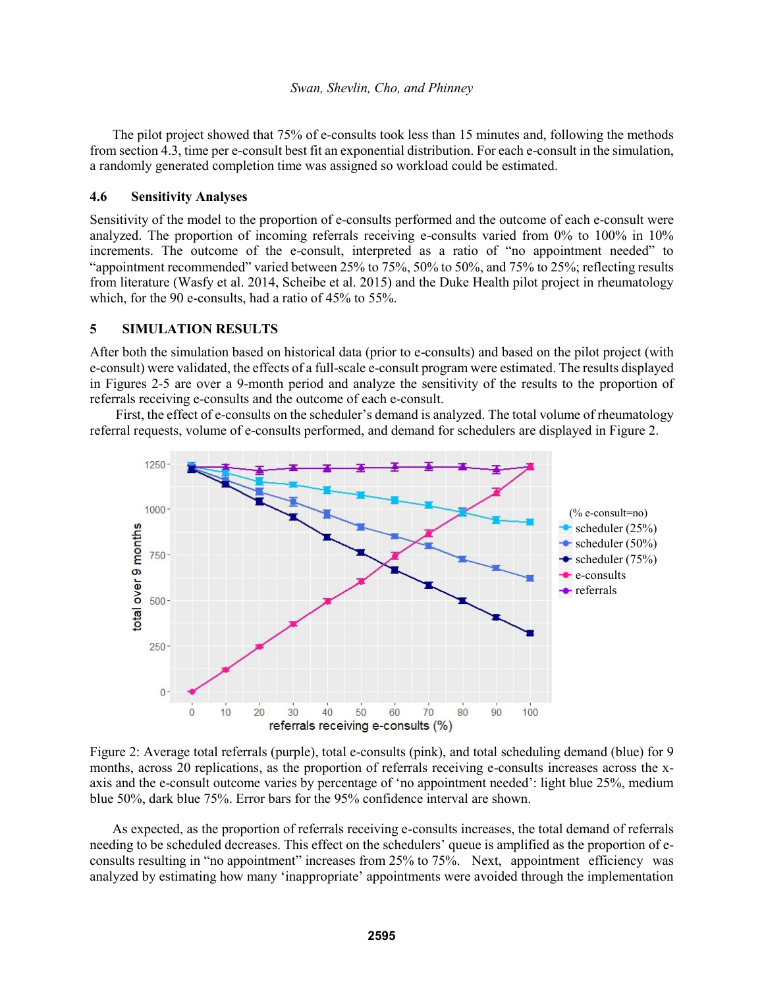The pilot project showed that 75% of e-consults took less than 15 minutes and, following the methods from section 4.3, time per e-consult best fit an exponential distribution. For each e-consult in the simulation, a randomly generated completion time was assigned so workload could be estimated.

### **4.6 Sensitivity Analyses**

Sensitivity of the model to the proportion of e-consults performed and the outcome of each e-consult were analyzed. The proportion of incoming referrals receiving e-consults varied from 0% to 100% in 10% increments. The outcome of the e-consult, interpreted as a ratio of "no appointment needed" to "appointment recommended" varied between 25% to 75%, 50% to 50%, and 75% to 25%; reflecting results from literature (Wasfy et al. 2014, Scheibe et al. 2015) and the Duke Health pilot project in rheumatology which, for the 90 e-consults, had a ratio of 45% to 55%.

# **5 SIMULATION RESULTS**

After both the simulation based on historical data (prior to e-consults) and based on the pilot project (with e-consult) were validated, the effects of a full-scale e-consult program were estimated. The results displayed in Figures 2-5 are over a 9-month period and analyze the sensitivity of the results to the proportion of referrals receiving e-consults and the outcome of each e-consult.

First, the effect of e-consults on the scheduler's demand is analyzed. The total volume of rheumatology referral requests, volume of e-consults performed, and demand for schedulers are displayed in Figure 2.



Figure 2: Average total referrals (purple), total e-consults (pink), and total scheduling demand (blue) for 9 months, across 20 replications, as the proportion of referrals receiving e-consults increases across the xaxis and the e-consult outcome varies by percentage of 'no appointment needed': light blue 25%, medium blue 50%, dark blue 75%. Error bars for the 95% confidence interval are shown.

As expected, as the proportion of referrals receiving e-consults increases, the total demand of referrals needing to be scheduled decreases. This effect on the schedulers' queue is amplified as the proportion of econsults resulting in "no appointment" increases from 25% to 75%. Next, appointment efficiency was analyzed by estimating how many 'inappropriate' appointments were avoided through the implementation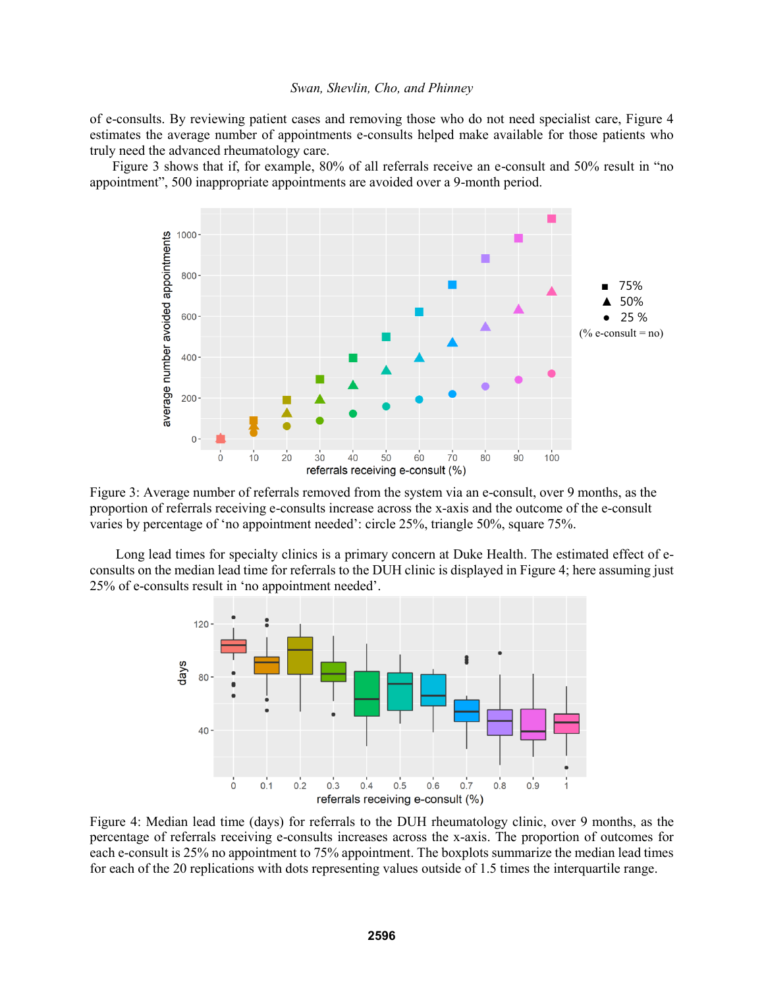of e-consults. By reviewing patient cases and removing those who do not need specialist care, Figure 4 estimates the average number of appointments e-consults helped make available for those patients who truly need the advanced rheumatology care.

Figure 3 shows that if, for example, 80% of all referrals receive an e-consult and 50% result in "no appointment", 500 inappropriate appointments are avoided over a 9-month period.



Figure 3: Average number of referrals removed from the system via an e-consult, over 9 months, as the proportion of referrals receiving e-consults increase across the x-axis and the outcome of the e-consult varies by percentage of 'no appointment needed': circle 25%, triangle 50%, square 75%.

Long lead times for specialty clinics is a primary concern at Duke Health. The estimated effect of econsults on the median lead time for referrals to the DUH clinic is displayed in Figure 4; here assuming just 25% of e-consults result in 'no appointment needed'.



Figure 4: Median lead time (days) for referrals to the DUH rheumatology clinic, over 9 months, as the percentage of referrals receiving e-consults increases across the x-axis. The proportion of outcomes for each e-consult is 25% no appointment to 75% appointment. The boxplots summarize the median lead times for each of the 20 replications with dots representing values outside of 1.5 times the interquartile range.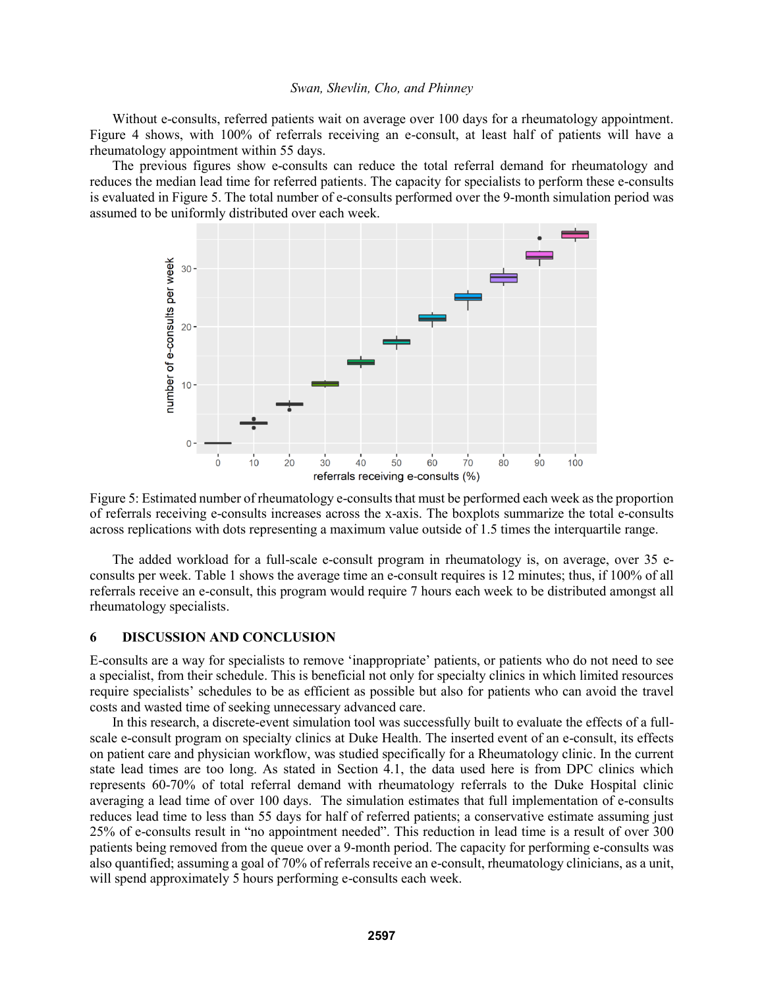Without e-consults, referred patients wait on average over 100 days for a rheumatology appointment. Figure 4 shows, with 100% of referrals receiving an e-consult, at least half of patients will have a rheumatology appointment within 55 days.

The previous figures show e-consults can reduce the total referral demand for rheumatology and reduces the median lead time for referred patients. The capacity for specialists to perform these e-consults is evaluated in Figure 5. The total number of e-consults performed over the 9-month simulation period was assumed to be uniformly distributed over each week.



Figure 5: Estimated number of rheumatology e-consults that must be performed each week as the proportion of referrals receiving e-consults increases across the x-axis. The boxplots summarize the total e-consults across replications with dots representing a maximum value outside of 1.5 times the interquartile range.

The added workload for a full-scale e-consult program in rheumatology is, on average, over 35 econsults per week. Table 1 shows the average time an e-consult requires is 12 minutes; thus, if 100% of all referrals receive an e-consult, this program would require 7 hours each week to be distributed amongst all rheumatology specialists.

# **6 DISCUSSION AND CONCLUSION**

E-consults are a way for specialists to remove 'inappropriate' patients, or patients who do not need to see a specialist, from their schedule. This is beneficial not only for specialty clinics in which limited resources require specialists' schedules to be as efficient as possible but also for patients who can avoid the travel costs and wasted time of seeking unnecessary advanced care.

In this research, a discrete-event simulation tool was successfully built to evaluate the effects of a fullscale e-consult program on specialty clinics at Duke Health. The inserted event of an e-consult, its effects on patient care and physician workflow, was studied specifically for a Rheumatology clinic. In the current state lead times are too long. As stated in Section 4.1, the data used here is from DPC clinics which represents 60-70% of total referral demand with rheumatology referrals to the Duke Hospital clinic averaging a lead time of over 100 days. The simulation estimates that full implementation of e-consults reduces lead time to less than 55 days for half of referred patients; a conservative estimate assuming just 25% of e-consults result in "no appointment needed". This reduction in lead time is a result of over 300 patients being removed from the queue over a 9-month period. The capacity for performing e-consults was also quantified; assuming a goal of 70% of referrals receive an e-consult, rheumatology clinicians, as a unit, will spend approximately 5 hours performing e-consults each week.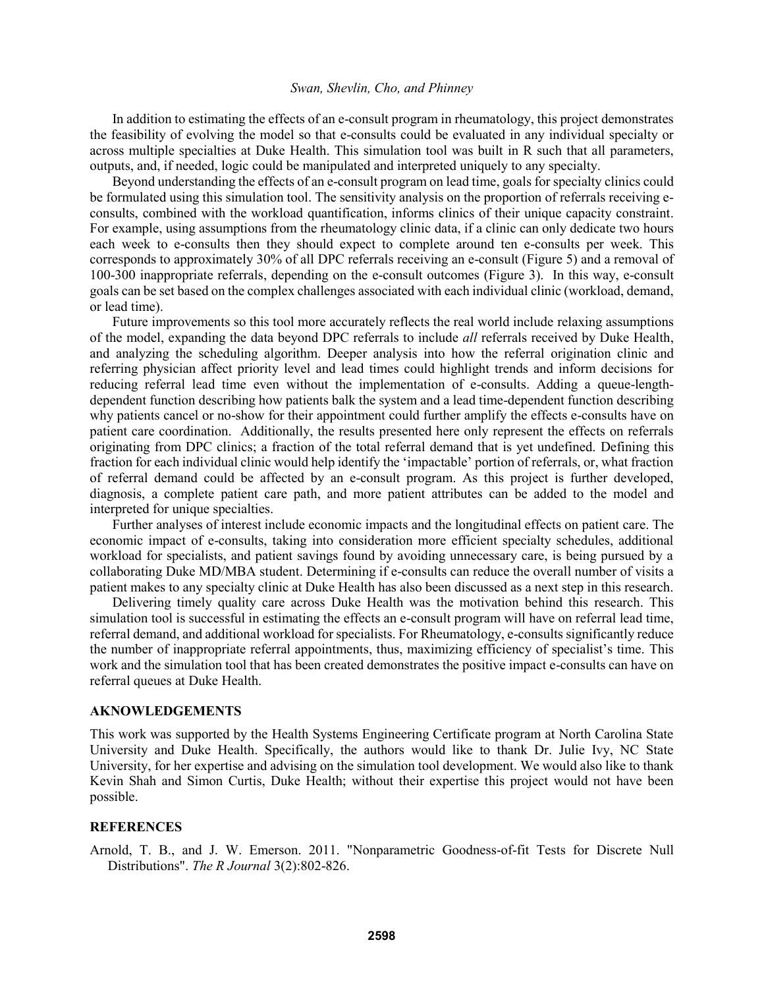In addition to estimating the effects of an e-consult program in rheumatology, this project demonstrates the feasibility of evolving the model so that e-consults could be evaluated in any individual specialty or across multiple specialties at Duke Health. This simulation tool was built in R such that all parameters, outputs, and, if needed, logic could be manipulated and interpreted uniquely to any specialty.

Beyond understanding the effects of an e-consult program on lead time, goals for specialty clinics could be formulated using this simulation tool. The sensitivity analysis on the proportion of referrals receiving econsults, combined with the workload quantification, informs clinics of their unique capacity constraint. For example, using assumptions from the rheumatology clinic data, if a clinic can only dedicate two hours each week to e-consults then they should expect to complete around ten e-consults per week. This corresponds to approximately 30% of all DPC referrals receiving an e-consult (Figure 5) and a removal of 100-300 inappropriate referrals, depending on the e-consult outcomes (Figure 3). In this way, e-consult goals can be set based on the complex challenges associated with each individual clinic (workload, demand, or lead time).

Future improvements so this tool more accurately reflects the real world include relaxing assumptions of the model, expanding the data beyond DPC referrals to include *all* referrals received by Duke Health, and analyzing the scheduling algorithm. Deeper analysis into how the referral origination clinic and referring physician affect priority level and lead times could highlight trends and inform decisions for reducing referral lead time even without the implementation of e-consults. Adding a queue-lengthdependent function describing how patients balk the system and a lead time-dependent function describing why patients cancel or no-show for their appointment could further amplify the effects e-consults have on patient care coordination. Additionally, the results presented here only represent the effects on referrals originating from DPC clinics; a fraction of the total referral demand that is yet undefined. Defining this fraction for each individual clinic would help identify the 'impactable' portion of referrals, or, what fraction of referral demand could be affected by an e-consult program. As this project is further developed, diagnosis, a complete patient care path, and more patient attributes can be added to the model and interpreted for unique specialties.

Further analyses of interest include economic impacts and the longitudinal effects on patient care. The economic impact of e-consults, taking into consideration more efficient specialty schedules, additional workload for specialists, and patient savings found by avoiding unnecessary care, is being pursued by a collaborating Duke MD/MBA student. Determining if e-consults can reduce the overall number of visits a patient makes to any specialty clinic at Duke Health has also been discussed as a next step in this research.

Delivering timely quality care across Duke Health was the motivation behind this research. This simulation tool is successful in estimating the effects an e-consult program will have on referral lead time, referral demand, and additional workload for specialists. For Rheumatology, e-consults significantly reduce the number of inappropriate referral appointments, thus, maximizing efficiency of specialist's time. This work and the simulation tool that has been created demonstrates the positive impact e-consults can have on referral queues at Duke Health.

#### **AKNOWLEDGEMENTS**

This work was supported by the Health Systems Engineering Certificate program at North Carolina State University and Duke Health. Specifically, the authors would like to thank Dr. Julie Ivy, NC State University, for her expertise and advising on the simulation tool development. We would also like to thank Kevin Shah and Simon Curtis, Duke Health; without their expertise this project would not have been possible.

### **REFERENCES**

Arnold, T. B., and J. W. Emerson. 2011. "Nonparametric Goodness-of-fit Tests for Discrete Null Distributions". *The R Journal* 3(2):802-826.